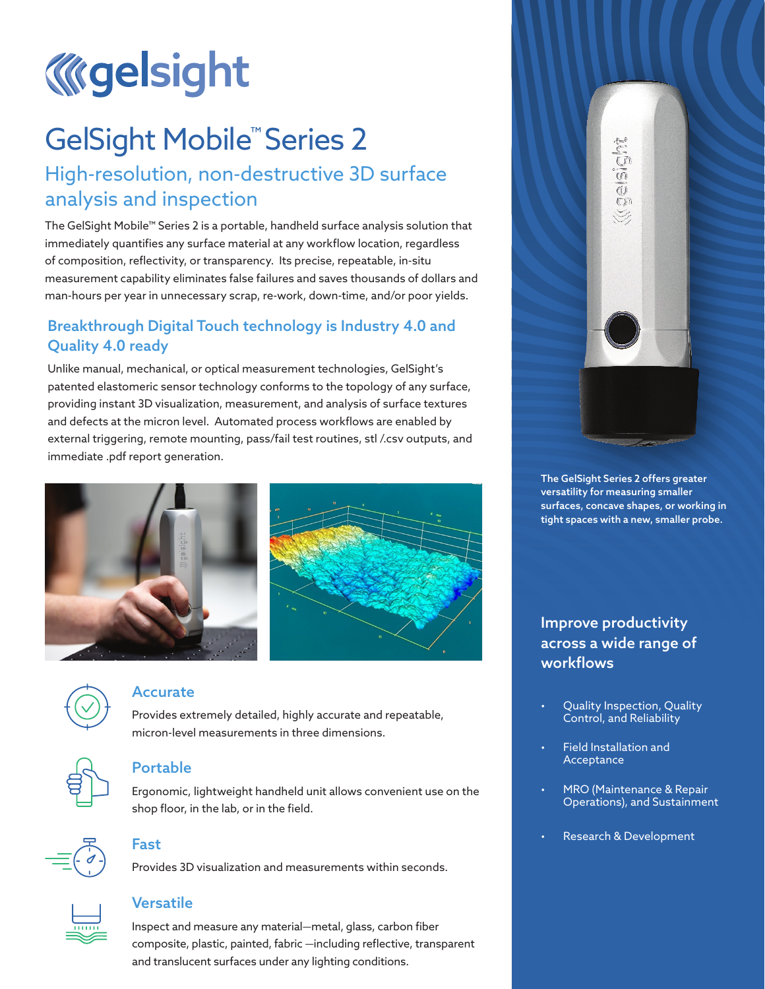

# GelSight Mobile<sup>™</sup> Series 2

# High-resolution, non-destructive 3D surface analysis and inspection

The GelSight Mobile™ Series 2 is a portable, handheld surface analysis solution that immediately quantifies any surface material at any workflow location, regardless of composition, reflectivity, or transparency. Its precise, repeatable, in-situ measurement capability eliminates false failures and saves thousands of dollars and man-hours per year in unnecessary scrap, re-work, down-time, and/or poor yields.

# Breakthrough Digital Touch technology is Industry 4.0 and Quality 4.0 ready

Unlike manual, mechanical, or optical measurement technologies, GelSight's patented elastomeric sensor technology conforms to the topology of any surface, providing instant 3D visualization, measurement, and analysis of surface textures and defects at the micron level. Automated process workflows are enabled by external triggering, remote mounting, pass/fail test routines, stl /.csv outputs, and immediate .pdf report generation.





#### Accurate

Provides extremely detailed, highly accurate and repeatable, micron-level measurements in three dimensions.



### Portable

Ergonomic, lightweight handheld unit allows convenient use on the shop floor, in the lab, or in the field.



# Fast

Provides 3D visualization and measurements within seconds.



#### **Versatile**

Inspect and measure any material—metal, glass, carbon fiber composite, plastic, painted, fabric —including reflective, transparent and translucent surfaces under any lighting conditions.



The GelSight Series 2 offers greater versatility for measuring smaller surfaces, concave shapes, or working in tight spaces with a new, smaller probe.

# Improve productivity across a wide range of workflows

- Quality Inspection, Quality Control, and Reliability
- Field Installation and Acceptance
- MRO (Maintenance & Repair Operations), and Sustainment
- Research & Development